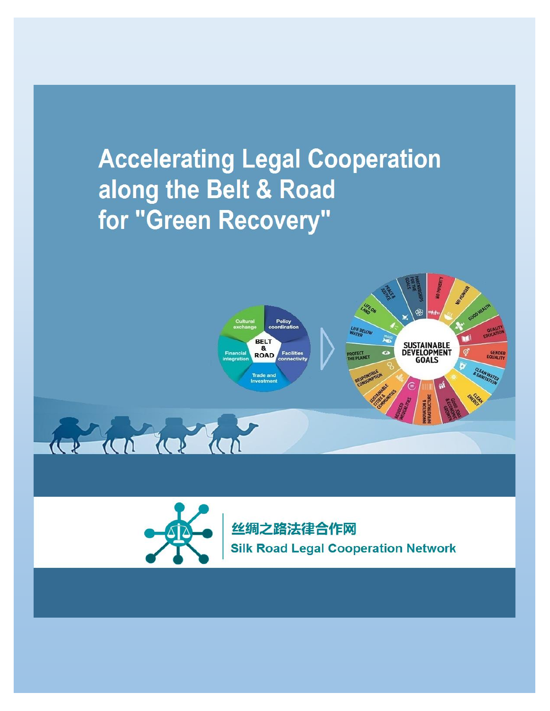# **Accelerating Legal Cooperation** along the Belt & Road for "Green Recovery"





丝绸之路法律合作网 **Silk Road Legal Cooperation Network**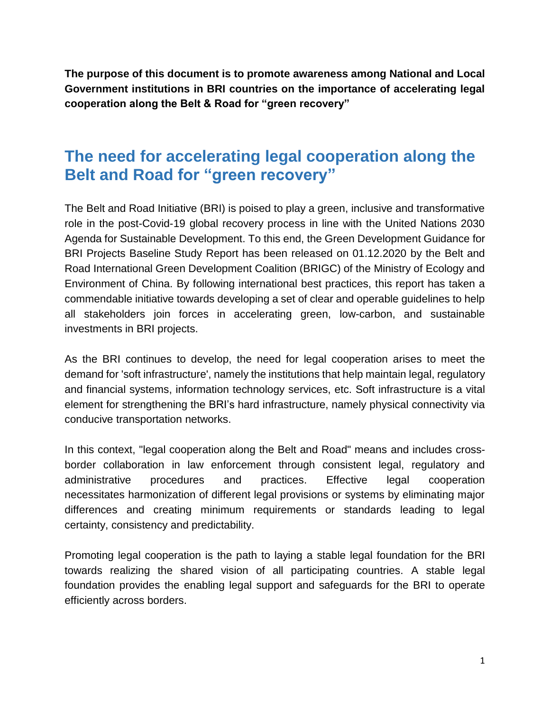**The purpose of this document is to promote awareness among National and Local Government institutions in BRI countries on the importance of accelerating legal cooperation along the Belt & Road for "green recovery"**

# **The need for accelerating legal cooperation along the Belt and Road for "green recovery"**

The Belt and Road Initiative (BRI) is poised to play a green, inclusive and transformative role in the post-Covid-19 global recovery process in line with the United Nations 2030 Agenda for Sustainable Development. To this end, the Green Development Guidance for BRI Projects Baseline Study Report has been released on 01.12.2020 by the Belt and Road International Green Development Coalition (BRIGC) of the Ministry of Ecology and Environment of China. By following international best practices, this report has taken a commendable initiative towards developing a set of clear and operable guidelines to help all stakeholders join forces in accelerating green, low-carbon, and sustainable investments in BRI projects.

As the BRI continues to develop, the need for legal cooperation arises to meet the demand for 'soft infrastructure', namely the institutions that help maintain legal, regulatory and financial systems, information technology services, etc. Soft infrastructure is a vital element for strengthening the BRI's hard infrastructure, namely physical connectivity via conducive transportation networks.

In this context, "legal cooperation along the Belt and Road" means and includes crossborder collaboration in law enforcement through consistent legal, regulatory and administrative procedures and practices. Effective legal cooperation necessitates harmonization of different legal provisions or systems by eliminating major differences and creating minimum requirements or standards leading to legal certainty, consistency and predictability.

Promoting legal cooperation is the path to laying a stable legal foundation for the BRI towards realizing the shared vision of all participating countries. A stable legal foundation provides the enabling legal support and safeguards for the BRI to operate efficiently across borders.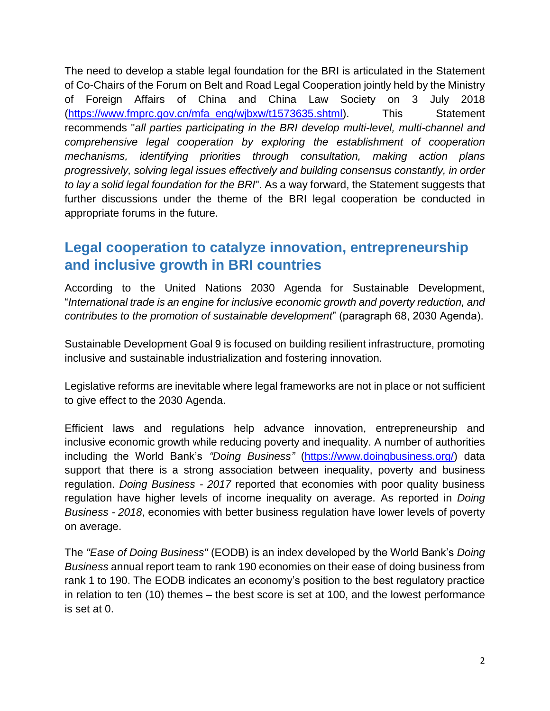The need to develop a stable legal foundation for the BRI is articulated in the Statement of Co-Chairs of the Forum on Belt and Road Legal Cooperation jointly held by the Ministry of Foreign Affairs of China and China Law Society on 3 July 2018 [\(https://www.fmprc.gov.cn/mfa\\_eng/wjbxw/t1573635.shtml\)](https://www.fmprc.gov.cn/mfa_eng/wjbxw/t1573635.shtml). This Statement recommends "*all parties participating in the BRI develop multi-level, multi-channel and comprehensive legal cooperation by exploring the establishment of cooperation mechanisms, identifying priorities through consultation, making action plans progressively, solving legal issues effectively and building consensus constantly, in order to lay a solid legal foundation for the BRI*". As a way forward, the Statement suggests that further discussions under the theme of the BRI legal cooperation be conducted in appropriate forums in the future.

### **Legal cooperation to catalyze innovation, entrepreneurship and inclusive growth in BRI countries**

According to the United Nations 2030 Agenda for Sustainable Development, "*International trade is an engine for inclusive economic growth and poverty reduction, and contributes to the promotion of sustainable development*" (paragraph 68, 2030 Agenda).

Sustainable Development Goal 9 is focused on building resilient infrastructure, promoting inclusive and sustainable industrialization and fostering innovation.

Legislative reforms are inevitable where legal frameworks are not in place or not sufficient to give effect to the 2030 Agenda.

Efficient laws and regulations help advance innovation, entrepreneurship and inclusive economic growth while reducing poverty and inequality. A number of authorities including the World Bank's *"Doing Business"* [\(https://www.doingbusiness.org/\)](https://www.doingbusiness.org/) data support that there is a strong association between inequality, poverty and business regulation. *Doing Business - 2017* reported that economies with poor quality business regulation have higher levels of income inequality on average. As reported in *Doing Business - 2018*, economies with better business regulation have lower levels of poverty on average.

The *"Ease of Doing Business"* (EODB) is an index developed by the World Bank's *Doing Business* annual report team to rank 190 economies on their ease of doing business from rank 1 to 190. The EODB indicates an economy's position to the best regulatory practice in relation to ten (10) themes – the best score is set at 100, and the lowest performance is set at 0.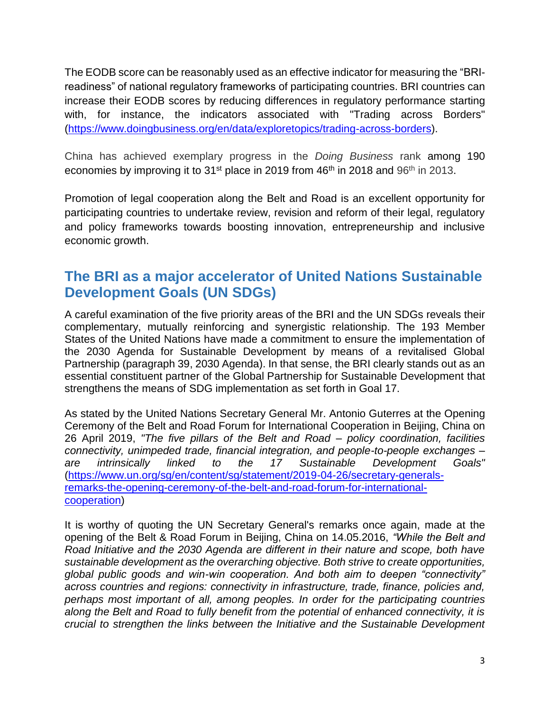The EODB score can be reasonably used as an effective indicator for measuring the "BRIreadiness" of national regulatory frameworks of participating countries. BRI countries can increase their EODB scores by reducing differences in regulatory performance starting with, for instance, the indicators associated with "Trading across Borders" [\(https://www.doingbusiness.org/en/data/exploretopics/trading-across-borders\)](https://www.doingbusiness.org/en/data/exploretopics/trading-across-borders).

China has achieved exemplary progress in the *Doing Business* rank among 190 economies by improving it to 31<sup>st</sup> place in 2019 from 46<sup>th</sup> in 2018 and 96<sup>th</sup> in 2013.

Promotion of legal cooperation along the Belt and Road is an excellent opportunity for participating countries to undertake review, revision and reform of their legal, regulatory and policy frameworks towards boosting innovation, entrepreneurship and inclusive economic growth.

#### **The BRI as a major accelerator of United Nations Sustainable Development Goals (UN SDGs)**

A careful examination of the five priority areas of the BRI and the UN SDGs reveals their complementary, mutually reinforcing and synergistic relationship. The 193 Member States of the United Nations have made a commitment to ensure the implementation of the 2030 Agenda for Sustainable Development by means of a revitalised Global Partnership (paragraph 39, 2030 Agenda). In that sense, the BRI clearly stands out as an essential constituent partner of the Global Partnership for Sustainable Development that strengthens the means of SDG implementation as set forth in Goal 17.

As stated by the United Nations Secretary General Mr. Antonio Guterres at the Opening Ceremony of the Belt and Road Forum for International Cooperation in Beijing, China on 26 April 2019, *"The five pillars of the Belt and Road – policy coordination, facilities connectivity, unimpeded trade, financial integration, and people-to-people exchanges – are intrinsically linked to the 17 Sustainable Development Goals"* [\(https://www.un.org/sg/en/content/sg/statement/2019-04-26/secretary-generals](https://www.un.org/sg/en/content/sg/statement/2019-04-26/secretary-generals-remarks-the-opening-ceremony-of-the-belt-and-road-forum-for-international-cooperation)[remarks-the-opening-ceremony-of-the-belt-and-road-forum-for-international](https://www.un.org/sg/en/content/sg/statement/2019-04-26/secretary-generals-remarks-the-opening-ceremony-of-the-belt-and-road-forum-for-international-cooperation)[cooperation\)](https://www.un.org/sg/en/content/sg/statement/2019-04-26/secretary-generals-remarks-the-opening-ceremony-of-the-belt-and-road-forum-for-international-cooperation)

It is worthy of quoting the UN Secretary General's remarks once again, made at the opening of the Belt & Road Forum in Beijing, China on 14.05.2016, *"While the Belt and Road Initiative and the 2030 Agenda are different in their nature and scope, both have sustainable development as the overarching objective. Both strive to create opportunities, global public goods and win-win cooperation. And both aim to deepen "connectivity" across countries and regions: connectivity in infrastructure, trade, finance, policies and, perhaps most important of all, among peoples. In order for the participating countries along the Belt and Road to fully benefit from the potential of enhanced connectivity, it is crucial to strengthen the links between the Initiative and the Sustainable Development*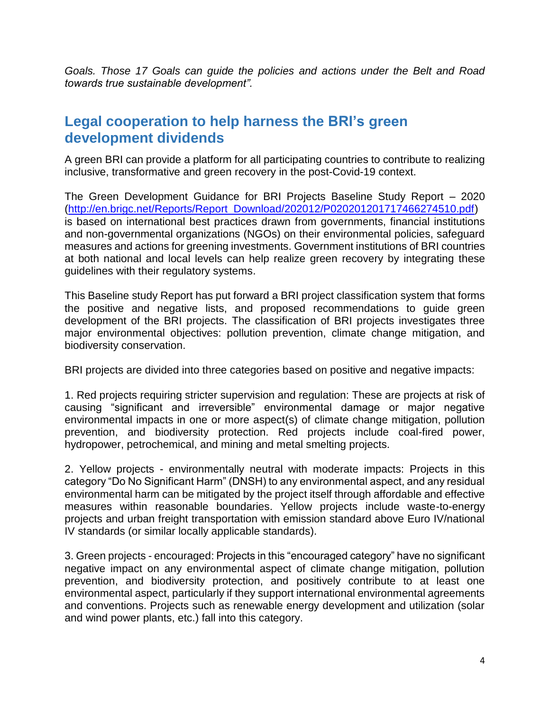*Goals. Those 17 Goals can guide the policies and actions under the Belt and Road towards true sustainable development".*

#### **Legal cooperation to help harness the BRI's green development dividends**

A green BRI can provide a platform for all participating countries to contribute to realizing inclusive, transformative and green recovery in the post-Covid-19 context.

The Green Development Guidance for BRI Projects Baseline Study Report – 2020 [\(http://en.brigc.net/Reports/Report\\_Download/202012/P020201201717466274510.pdf\)](http://en.brigc.net/Reports/Report_Download/202012/P020201201717466274510.pdf) is based on international best practices drawn from governments, financial institutions and non-governmental organizations (NGOs) on their environmental policies, safeguard measures and actions for greening investments. Government institutions of BRI countries at both national and local levels can help realize green recovery by integrating these guidelines with their regulatory systems.

This Baseline study Report has put forward a BRI project classification system that forms the positive and negative lists, and proposed recommendations to guide green development of the BRI projects. The classification of BRI projects investigates three major environmental objectives: pollution prevention, climate change mitigation, and biodiversity conservation.

BRI projects are divided into three categories based on positive and negative impacts:

1. Red projects requiring stricter supervision and regulation: These are projects at risk of causing "significant and irreversible" environmental damage or major negative environmental impacts in one or more aspect(s) of climate change mitigation, pollution prevention, and biodiversity protection. Red projects include coal-fired power, hydropower, petrochemical, and mining and metal smelting projects.

2. Yellow projects - environmentally neutral with moderate impacts: Projects in this category "Do No Significant Harm" (DNSH) to any environmental aspect, and any residual environmental harm can be mitigated by the project itself through affordable and effective measures within reasonable boundaries. Yellow projects include waste-to-energy projects and urban freight transportation with emission standard above Euro IV/national IV standards (or similar locally applicable standards).

3. Green projects - encouraged: Projects in this "encouraged category" have no significant negative impact on any environmental aspect of climate change mitigation, pollution prevention, and biodiversity protection, and positively contribute to at least one environmental aspect, particularly if they support international environmental agreements and conventions. Projects such as renewable energy development and utilization (solar and wind power plants, etc.) fall into this category.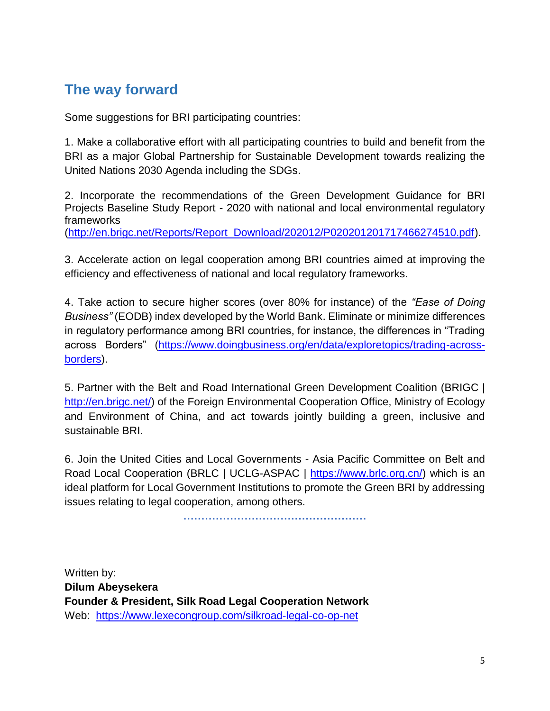## **The way forward**

Some suggestions for BRI participating countries:

1. Make a collaborative effort with all participating countries to build and benefit from the BRI as a major Global Partnership for Sustainable Development towards realizing the United Nations 2030 Agenda including the SDGs.

2. Incorporate the recommendations of the Green Development Guidance for BRI Projects Baseline Study Report - 2020 with national and local environmental regulatory frameworks

[\(http://en.brigc.net/Reports/Report\\_Download/202012/P020201201717466274510.pdf\)](http://en.brigc.net/Reports/Report_Download/202012/P020201201717466274510.pdf).

3. Accelerate action on legal cooperation among BRI countries aimed at improving the efficiency and effectiveness of national and local regulatory frameworks.

4. Take action to secure higher scores (over 80% for instance) of the *"Ease of Doing Business"* (EODB) index developed by the World Bank. Eliminate or minimize differences in regulatory performance among BRI countries, for instance, the differences in "Trading across Borders" [\(https://www.doingbusiness.org/en/data/exploretopics/trading-across](https://www.doingbusiness.org/en/data/exploretopics/trading-across-borders)[borders\)](https://www.doingbusiness.org/en/data/exploretopics/trading-across-borders).

5. Partner with the Belt and Road International Green Development Coalition (BRIGC | [http://en.brigc.net/\)](http://en.brigc.net/) of the Foreign Environmental Cooperation Office, Ministry of Ecology and Environment of China, and act towards jointly building a green, inclusive and sustainable BRI.

6. Join the United Cities and Local Governments - Asia Pacific Committee on Belt and Road Local Cooperation (BRLC | UCLG-ASPAC | [https://www.brlc.org.cn/\)](https://www.brlc.org.cn/) which is an ideal platform for Local Government Institutions to promote the Green BRI by addressing issues relating to legal cooperation, among others.

**……………………………………………**

Written by: **Dilum Abeysekera Founder & President, Silk Road Legal Cooperation Network** Web: <https://www.lexecongroup.com/silkroad-legal-co-op-net>